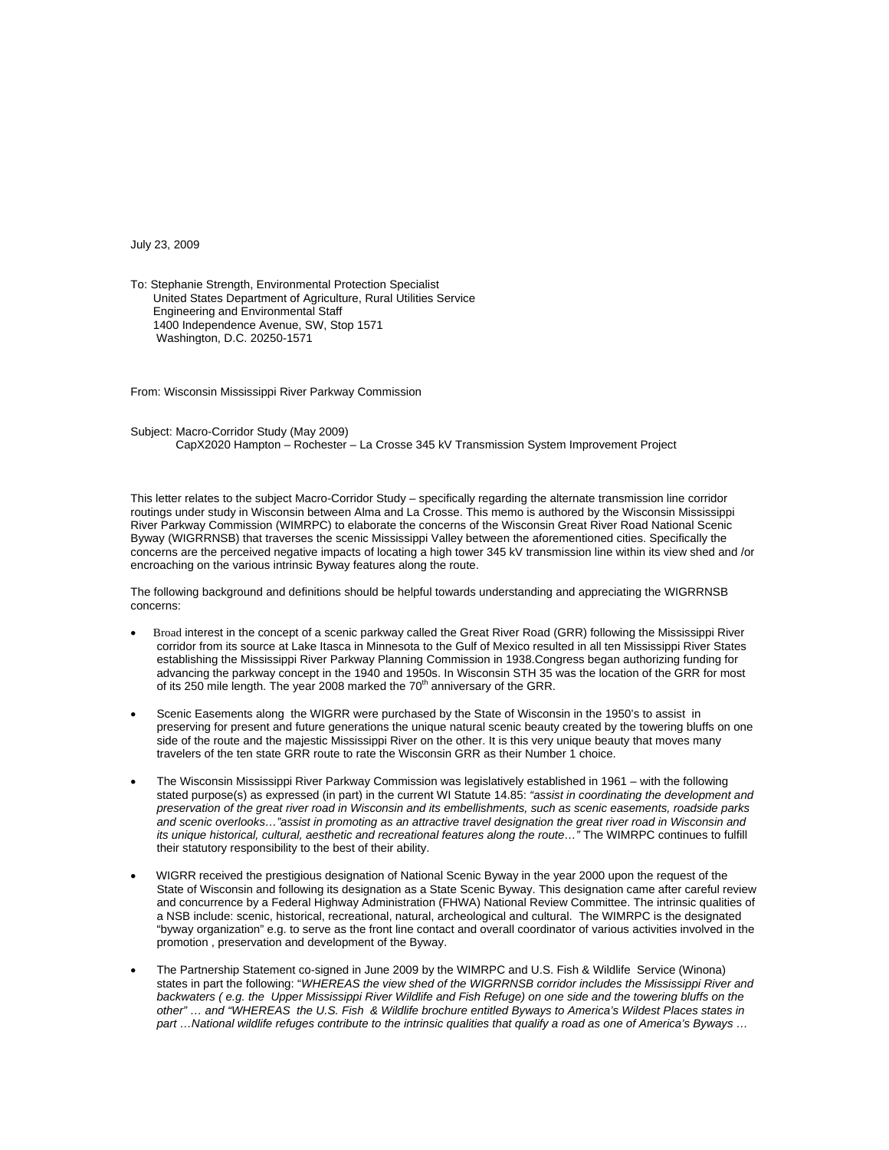July 23, 2009

To: Stephanie Strength, Environmental Protection Specialist United States Department of Agriculture, Rural Utilities Service Engineering and Environmental Staff 1400 Independence Avenue, SW, Stop 1571 Washington, D.C. 20250-1571

From: Wisconsin Mississippi River Parkway Commission

Subject: Macro-Corridor Study (May 2009) CapX2020 Hampton – Rochester – La Crosse 345 kV Transmission System Improvement Project

This letter relates to the subject Macro-Corridor Study – specifically regarding the alternate transmission line corridor routings under study in Wisconsin between Alma and La Crosse. This memo is authored by the Wisconsin Mississippi River Parkway Commission (WIMRPC) to elaborate the concerns of the Wisconsin Great River Road National Scenic Byway (WIGRRNSB) that traverses the scenic Mississippi Valley between the aforementioned cities. Specifically the concerns are the perceived negative impacts of locating a high tower 345 kV transmission line within its view shed and /or encroaching on the various intrinsic Byway features along the route.

The following background and definitions should be helpful towards understanding and appreciating the WIGRRNSB concerns:

- Broad interest in the concept of a scenic parkway called the Great River Road (GRR) following the Mississippi River corridor from its source at Lake Itasca in Minnesota to the Gulf of Mexico resulted in all ten Mississippi River States establishing the Mississippi River Parkway Planning Commission in 1938.Congress began authorizing funding for advancing the parkway concept in the 1940 and 1950s. In Wisconsin STH 35 was the location of the GRR for most of its 250 mile length. The year 2008 marked the  $70<sup>th</sup>$  anniversary of the GRR.
- Scenic Easements along the WIGRR were purchased by the State of Wisconsin in the 1950's to assist in preserving for present and future generations the unique natural scenic beauty created by the towering bluffs on one side of the route and the majestic Mississippi River on the other. It is this very unique beauty that moves many travelers of the ten state GRR route to rate the Wisconsin GRR as their Number 1 choice.
- The Wisconsin Mississippi River Parkway Commission was legislatively established in 1961 with the following stated purpose(s) as expressed (in part) in the current WI Statute 14.85: *"assist in coordinating the development and preservation of the great river road in Wisconsin and its embellishments, such as scenic easements, roadside parks*  and scenic overlooks..."assist in promoting as an attractive travel designation the great river road in Wisconsin and *its unique historical, cultural, aesthetic and recreational features along the route…"* The WIMRPC continues to fulfill their statutory responsibility to the best of their ability.
- WIGRR received the prestigious designation of National Scenic Byway in the year 2000 upon the request of the State of Wisconsin and following its designation as a State Scenic Byway. This designation came after careful review and concurrence by a Federal Highway Administration (FHWA) National Review Committee. The intrinsic qualities of a NSB include: scenic, historical, recreational, natural, archeological and cultural. The WIMRPC is the designated "byway organization" e.g. to serve as the front line contact and overall coordinator of various activities involved in the promotion , preservation and development of the Byway.
- The Partnership Statement co-signed in June 2009 by the WIMRPC and U.S. Fish & Wildlife Service (Winona) states in part the following: "*WHEREAS the view shed of the WIGRRNSB corridor includes the Mississippi River and*  backwaters (e.g. the Upper Mississippi River Wildlife and Fish Refuge) on one side and the towering bluffs on the *other" … and "WHEREAS the U.S. Fish & Wildlife brochure entitled Byways to America's Wildest Places states in part …National wildlife refuges contribute to the intrinsic qualities that qualify a road as one of America's Byways …*